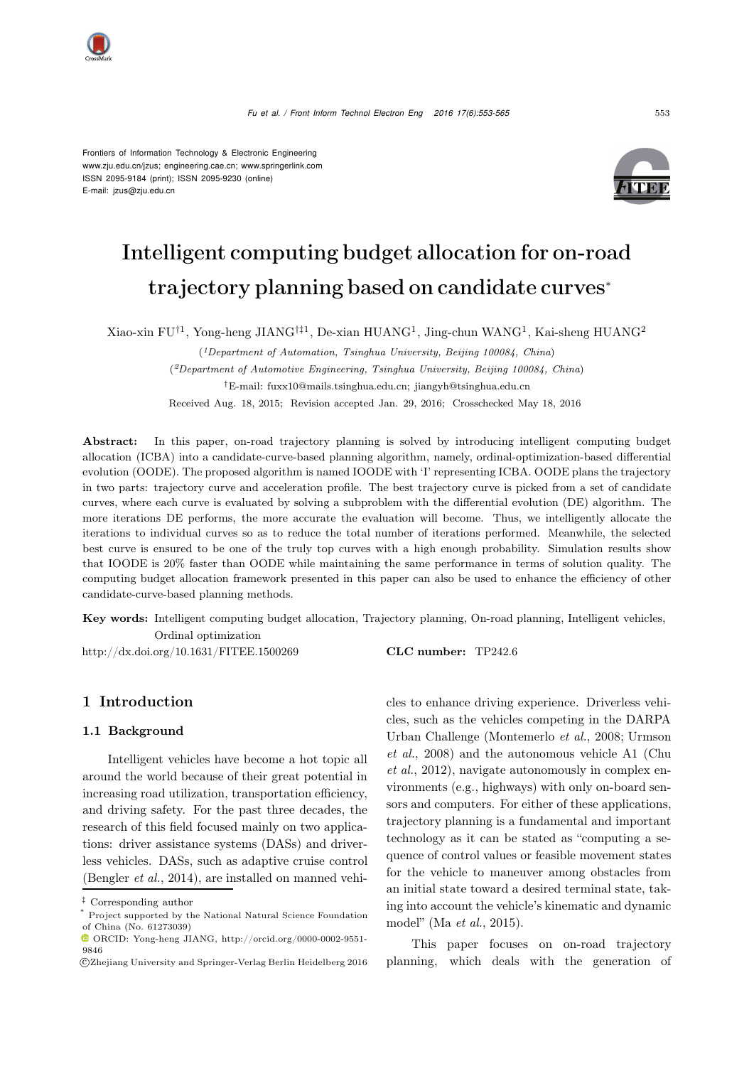Frontiers of Information Technology & Electronic Engineering www.zju.edu.cn/jzus; engineering.cae.cn; www.springerlink.com ISSN 2095-9184 (print); ISSN 2095-9230 (online) E-mail: jzus@zju.edu.cn



# Intelligent computing budget allocation for on-road trajectory planning based on candidate curves<sup>∗</sup>

Xiao-xin FU<sup>†1</sup>, Yong-heng JIANG<sup>†‡1</sup>, De-xian HUANG<sup>1</sup>, Jing-chun WANG<sup>1</sup>, Kai-sheng HUANG<sup>2</sup>

(*1Department of Automation, Tsinghua University, Beijing 100084, China*) (*2Department of Automotive Engineering, Tsinghua University, Beijing 100084, China*) *†*E-mail: fuxx10@mails.tsinghua.edu.cn; jiangyh@tsinghua.edu.cn Received Aug. 18, 2015; Revision accepted Jan. 29, 2016; Crosschecked May 18, 2016

Abstract: In this paper, on-road trajectory planning is solved by introducing intelligent computing budget allocation (ICBA) into a candidate-curve-based planning algorithm, namely, ordinal-optimization-based differential evolution (OODE). The proposed algorithm is named IOODE with 'I' representing ICBA. OODE plans the trajectory in two parts: trajectory curve and acceleration profile. The best trajectory curve is picked from a set of candidate curves, where each curve is evaluated by solving a subproblem with the differential evolution (DE) algorithm. The more iterations DE performs, the more accurate the evaluation will become. Thus, we intelligently allocate the iterations to individual curves so as to reduce the total number of iterations performed. Meanwhile, the selected best curve is ensured to be one of the truly top curves with a high enough probability. Simulation results show that IOODE is 20% faster than OODE while maintaining the same performance in terms of solution quality. The computing budget allocation framework presented in this paper can also be used to enhance the efficiency of other candidate-curve-based planning methods.

Key words: Intelligent computing budget allocation, Trajectory planning, On-road planning, Intelligent vehicles, Ordinal optimization

http://dx.doi.org/10.1631/FITEE.1500269 CLC number: TP242.6

## 1 Introduction

#### 1.1 Background

Intelligent vehicles have become a hot topic all around the world because of their great potential in increasing road utilization, transportation efficiency, and driving safety. For the past three decades, the research of this field focused mainly on two applications: driver assistance systems (DASs) and driverless vehicles. DASs, such as adaptive cruise control [\(Bengler](#page-12-0) *et al.*, [2014\)](#page-12-0), are installed on manned vehicles to enhance driving experience. Driverless vehicles, such as the vehicles competing in the DARPA Urba[n](#page-12-2) [Challenge](#page-12-2) [\(Montemerlo](#page-12-1) *et al.*, [2008;](#page-12-1) Urmson *et al.*[,](#page-12-3) [2008](#page-12-2)[\)](#page-12-3) [and](#page-12-3) [the](#page-12-3) [autonomous](#page-12-3) [vehicle](#page-12-3) [A1](#page-12-3) [\(](#page-12-3)Chu *et al.*, [2012](#page-12-3)), navigate autonomously in complex environments (e.g., highways) with only on-board sensors and computers. For either of these applications, trajectory planning is a fundamental and important technology as it can be stated as "computing a sequence of control values or feasible movement states for the vehicle to maneuver among obstacles from an initial state toward a desired terminal state, taking into account the vehicle's kinematic and dynamic model" (Ma *[et al.](#page-12-4)*, [2015](#page-12-4)).

This paper focuses on on-road trajectory planning, which deals with the generation of

*<sup>‡</sup>* Corresponding author

Project supported by the National Natural Science Foundation of China (No. 61273039)

ORCID: Yong-heng JIANG, http://orcid.org/0000-0002-9551- 9846

c Zhejiang University and Springer-Verlag Berlin Heidelberg 2016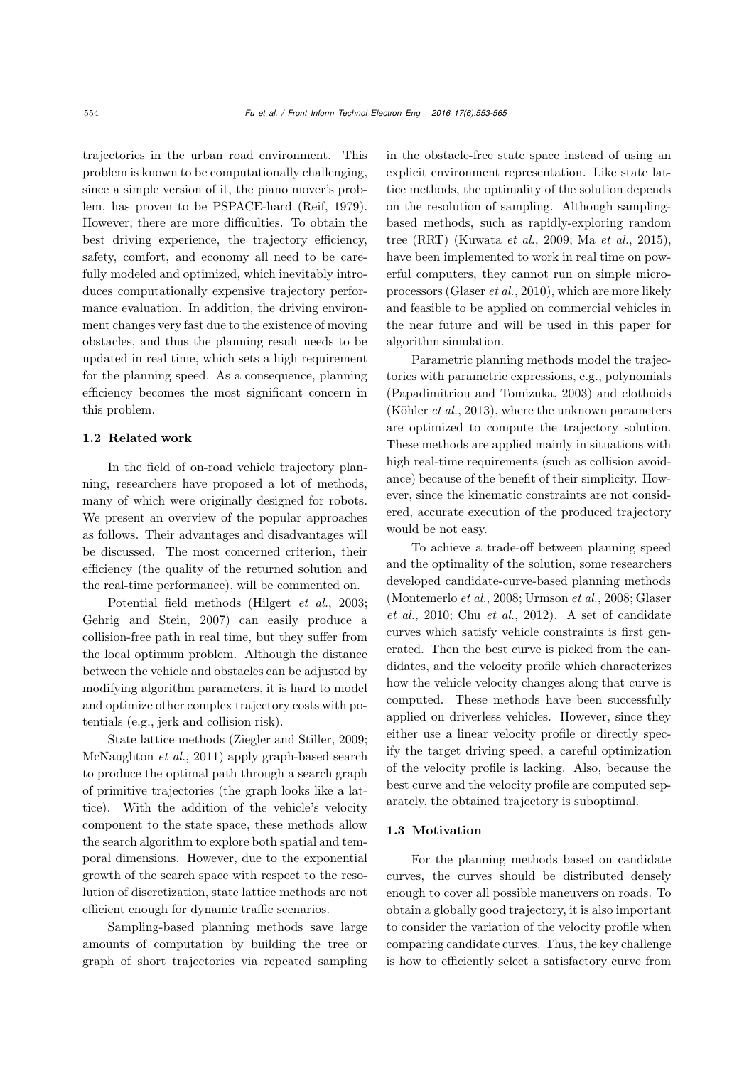trajectories in the urban road environment. This problem is known to be computationally challenging, since a simple version of it, the piano mover's problem, has proven to be PSPACE-hard [\(Reif](#page-12-5), [1979\)](#page-12-5). However, there are more difficulties. To obtain the best driving experience, the trajectory efficiency, safety, comfort, and economy all need to be carefully modeled and optimized, which inevitably introduces computationally expensive trajectory performance evaluation. In addition, the driving environment changes very fast due to the existence of moving obstacles, and thus the planning result needs to be updated in real time, which sets a high requirement for the planning speed. As a consequence, planning efficiency becomes the most significant concern in this problem.

## 1.2 Related work

In the field of on-road vehicle trajectory planning, researchers have proposed a lot of methods, many of which were originally designed for robots. We present an overview of the popular approaches as follows. Their advantages and disadvantages will be discussed. The most concerned criterion, their efficiency (the quality of the returned solution and the real-time performance), will be commented on.

Potential field methods [\(Hilgert](#page-12-6) *et al.*, [2003;](#page-12-6) [Gehrig and Stein, 2007](#page-12-7)) can easily produce a collision-free path in real time, but they suffer from the local optimum problem. Although the distance between the vehicle and obstacles can be adjusted by modifying algorithm parameters, it is hard to model and optimize other complex trajectory costs with potentials (e.g., jerk and collision risk).

State lattice methods [\(Ziegler and Stiller, 2009;](#page-12-8) [McNaughton](#page-12-9) *et al.*, [2011\)](#page-12-9) apply graph-based search to produce the optimal path through a search graph of primitive trajectories (the graph looks like a lattice). With the addition of the vehicle's velocity component to the state space, these methods allow the search algorithm to explore both spatial and temporal dimensions. However, due to the exponential growth of the search space with respect to the resolution of discretization, state lattice methods are not efficient enough for dynamic traffic scenarios.

Sampling-based planning methods save large amounts of computation by building the tree or graph of short trajectories via repeated sampling in the obstacle-free state space instead of using an explicit environment representation. Like state lattice methods, the optimality of the solution depends on the resolution of sampling. Although samplingbased methods, such as rapidly-exploring random tree (RRT) [\(Kuwata](#page-12-10) *et al.*, [2009;](#page-12-10) Ma *[et al.](#page-12-4)*, [2015\)](#page-12-4), have been implemented to work in real time on powerful computers, they cannot run on simple microprocessors [\(Glaser](#page-12-11) *et al.*, [2010\)](#page-12-11), which are more likely and feasible to be applied on commercial vehicles in the near future and will be used in this paper for algorithm simulation.

Parametric planning methods model the trajectories with parametric expressions, e.g., polynomials [\(Papadimitriou and Tomizuka](#page-12-12), [2003\)](#page-12-12) and clothoids [\(Köhler](#page-12-13) *et al.*, [2013\)](#page-12-13), where the unknown parameters are optimized to compute the trajectory solution. These methods are applied mainly in situations with high real-time requirements (such as collision avoidance) because of the benefit of their simplicity. However, since the kinematic constraints are not considered, accurate execution of the produced trajectory would be not easy.

To achieve a trade-off between planning speed and the optimality of the solution, some researchers developed candidate-curve-based planning methods [\(Montemerlo](#page-12-1) *et al.*[,](#page-12-11) [2008](#page-12-1)[;](#page-12-11) [Urmson](#page-12-2) *et al.*, [2008](#page-12-2); Glaser *et al.*, [2010;](#page-12-11) Chu *[et al.](#page-12-3)*, [2012\)](#page-12-3). A set of candidate curves which satisfy vehicle constraints is first generated. Then the best curve is picked from the candidates, and the velocity profile which characterizes how the vehicle velocity changes along that curve is computed. These methods have been successfully applied on driverless vehicles. However, since they either use a linear velocity profile or directly specify the target driving speed, a careful optimization of the velocity profile is lacking. Also, because the best curve and the velocity profile are computed separately, the obtained trajectory is suboptimal.

#### 1.3 Motivation

For the planning methods based on candidate curves, the curves should be distributed densely enough to cover all possible maneuvers on roads. To obtain a globally good trajectory, it is also important to consider the variation of the velocity profile when comparing candidate curves. Thus, the key challenge is how to efficiently select a satisfactory curve from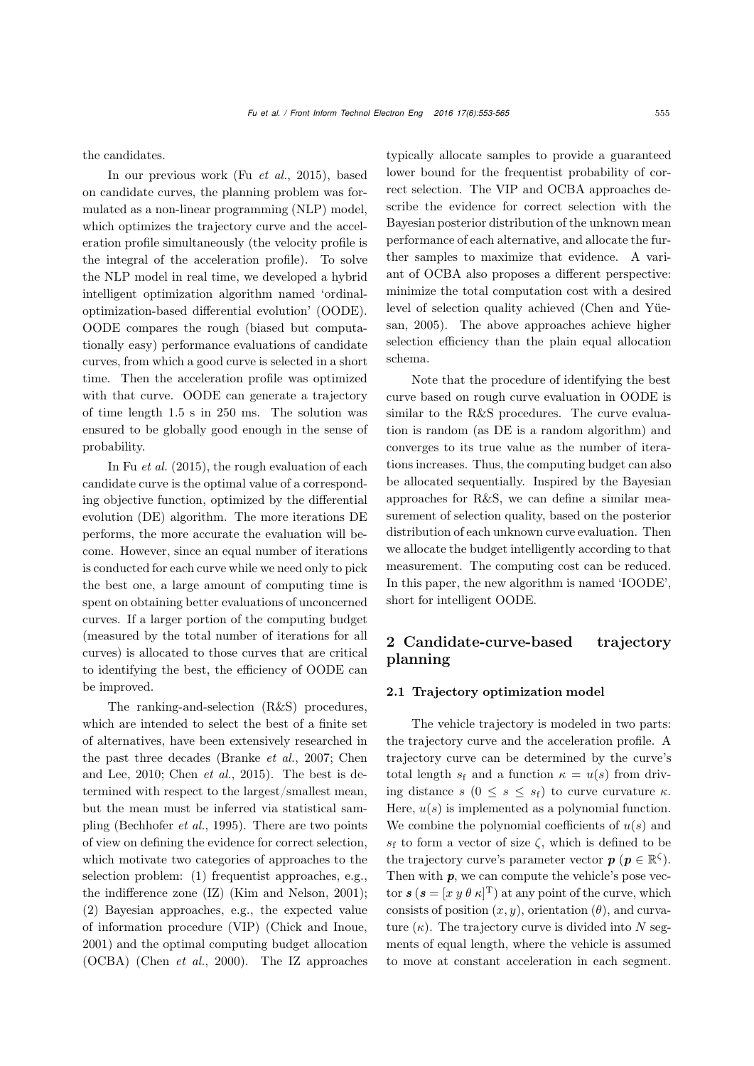the candidates.

In our previous work (Fu *[et al.](#page-12-14)*, [2015](#page-12-14)), based on candidate curves, the planning problem was formulated as a non-linear programming (NLP) model, which optimizes the trajectory curve and the acceleration profile simultaneously (the velocity profile is the integral of the acceleration profile). To solve the NLP model in real time, we developed a hybrid intelligent optimization algorithm named 'ordinaloptimization-based differential evolution' (OODE). OODE compares the rough (biased but computationally easy) performance evaluations of candidate curves, from which a good curve is selected in a short time. Then the acceleration profile was optimized with that curve. OODE can generate a trajectory of time length 1.5 s in 250 ms. The solution was ensured to be globally good enough in the sense of probability.

In Fu *[et al.](#page-12-14)* [\(2015](#page-12-14)), the rough evaluation of each candidate curve is the optimal value of a corresponding objective function, optimized by the differential evolution (DE) algorithm. The more iterations DE performs, the more accurate the evaluation will become. However, since an equal number of iterations is conducted for each curve while we need only to pick the best one, a large amount of computing time is spent on obtaining better evaluations of unconcerned curves. If a larger portion of the computing budget (measured by the total number of iterations for all curves) is allocated to those curves that are critical to identifying the best, the efficiency of OODE can be improved.

The ranking-and-selection (R&S) procedures, which are intended to select the best of a finite set of alternatives, have been extensively researched in the pas[t](#page-12-16) [three](#page-12-16) [decades](#page-12-16) [\(Branke](#page-12-15) *et al.*, [2007;](#page-12-15) Chen and Lee, [2010](#page-12-16); [Chen](#page-12-17) *et al.*, [2015\)](#page-12-17). The best is determined with respect to the largest/smallest mean, but the mean must be inferred via statistical sampling [\(Bechhofer](#page-12-18) *et al.*, [1995](#page-12-18)). There are two points of view on defining the evidence for correct selection, which motivate two categories of approaches to the selection problem: (1) frequentist approaches, e.g., the indifference zone (IZ) [\(Kim and Nelson, 2001\)](#page-12-19); (2) Bayesian approaches, e.g., the expected value of information procedure (VIP) [\(Chick and Inoue](#page-12-20), [2001](#page-12-20)) and the optimal computing budget allocation (OCBA) [\(Chen](#page-12-21) *et al.*, [2000\)](#page-12-21). The IZ approaches typically allocate samples to provide a guaranteed lower bound for the frequentist probability of correct selection. The VIP and OCBA approaches describe the evidence for correct selection with the Bayesian posterior distribution of the unknown mean performance of each alternative, and allocate the further samples to maximize that evidence. A variant of OCBA also proposes a different perspective: minimize the total computation cost with a desired lev[el](#page-12-22) [of](#page-12-22) [selection](#page-12-22) [quality](#page-12-22) [achieved](#page-12-22) [\(](#page-12-22)Chen and Yüesan, [2005](#page-12-22)). The above approaches achieve higher selection efficiency than the plain equal allocation schema.

Note that the procedure of identifying the best curve based on rough curve evaluation in OODE is similar to the R&S procedures. The curve evaluation is random (as DE is a random algorithm) and converges to its true value as the number of iterations increases. Thus, the computing budget can also be allocated sequentially. Inspired by the Bayesian approaches for R&S, we can define a similar measurement of selection quality, based on the posterior distribution of each unknown curve evaluation. Then we allocate the budget intelligently according to that measurement. The computing cost can be reduced. In this paper, the new algorithm is named 'IOODE', short for intelligent OODE.

## 2 Candidate-curve-based trajectory planning

#### 2.1 Trajectory optimization model

The vehicle trajectory is modeled in two parts: the trajectory curve and the acceleration profile. A trajectory curve can be determined by the curve's total length  $s_f$  and a function  $\kappa = u(s)$  from driving distance  $s$   $(0 \leq s \leq s_f)$  to curve curvature  $\kappa$ . Here,  $u(s)$  is implemented as a polynomial function. We combine the polynomial coefficients of  $u(s)$  and  $s_f$  to form a vector of size  $\zeta$ , which is defined to be the trajectory curve's parameter vector  $p \ (p \in \mathbb{R}^{\zeta}).$ Then with  $p$ , we can compute the vehicle's pose vector  $s$  ( $s = [x \, y \theta \, \kappa]^T$ ) at any point of the curve, which consists of position  $(x, y)$ , orientation  $(\theta)$ , and curvature  $(\kappa)$ . The trajectory curve is divided into N segments of equal length, where the vehicle is assumed to move at constant acceleration in each segment.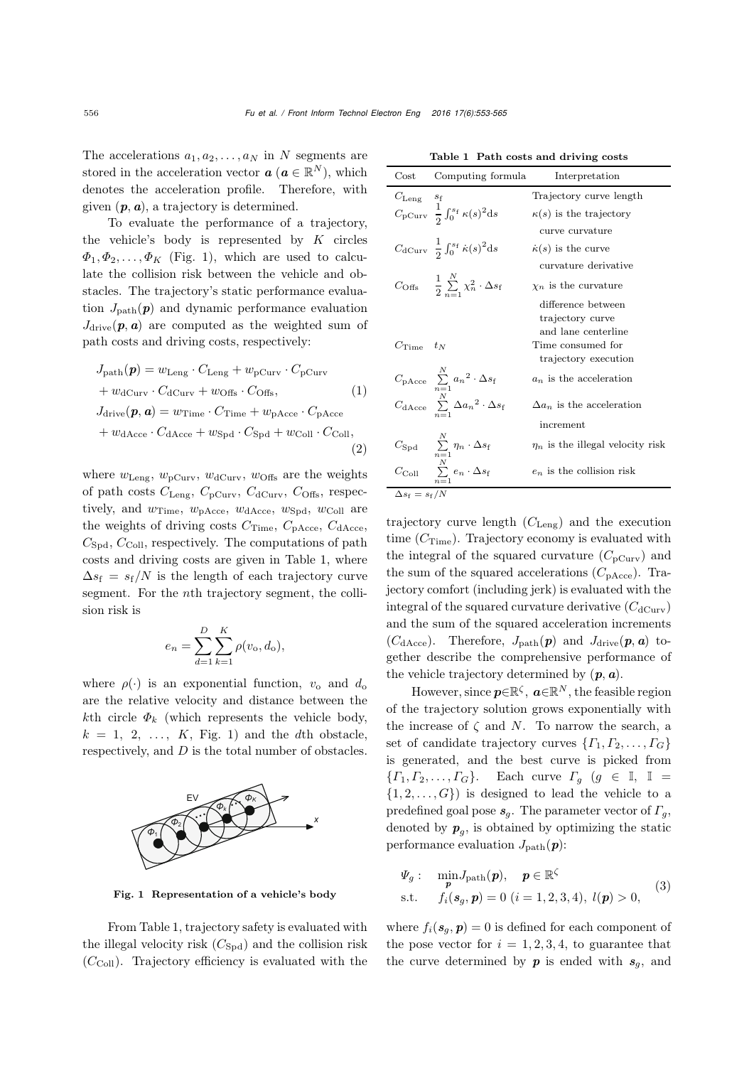The accelerations  $a_1, a_2, \ldots, a_N$  in N segments are stored in the acceleration vector  $\boldsymbol{a}$  ( $\boldsymbol{a} \in \mathbb{R}^N$ ), which denotes the acceleration profile. Therefore, with given  $(p, a)$ , a trajectory is determined.

To evaluate the performance of a trajectory, the vehicle's body is represented by  $K$  circles  $\Phi_1, \Phi_2, \ldots, \Phi_K$  (Fig. [1\)](#page-3-0), which are used to calculate the collision risk between the vehicle and obstacles. The trajectory's static performance evaluation  $J_{\text{path}}(p)$  and dynamic performance evaluation  $J_{\text{drive}}(p, a)$  are computed as the weighted sum of path costs and driving costs, respectively:

$$
J_{\text{path}}(\boldsymbol{p}) = w_{\text{Leng}} \cdot C_{\text{Leng}} + w_{\text{pCurv}} \cdot C_{\text{pCurv}} + w_{\text{dCurv}} \cdot C_{\text{dCurv}} + w_{\text{Offs}} \cdot C_{\text{Offs}},
$$
(1)  

$$
J_{\text{drive}}(\boldsymbol{p}, \boldsymbol{a}) = w_{\text{Time}} \cdot C_{\text{Time}} + w_{\text{pAcce}} \cdot C_{\text{pAcce}} + w_{\text{dAcce}} \cdot C_{\text{dAcce}} + w_{\text{Spd}} \cdot C_{\text{Spd}} + w_{\text{Coll}} \cdot C_{\text{Coll}},
$$
(2)

where  $w_{\text{Leng}}$ ,  $w_{\text{pCurv}}$ ,  $w_{\text{dCurv}}$ ,  $w_{\text{Offs}}$  are the weights of path costs  $C_{\text{Leng}}$ ,  $C_{\text{pCurv}}$ ,  $C_{\text{dCurv}}$ ,  $C_{\text{Offs}}$ , respectively, and  $w_{Time}$ ,  $w_{pAice}$ ,  $w_{dAice}$ ,  $w_{Spd}$ ,  $w_{Coll}$  are the weights of driving costs  $C_{\text{Time}},\ C_{\text{pAcce}},\ C_{\text{dAcce}},$  $C_{\text{Spd}}$ ,  $C_{\text{Coll}}$ , respectively. The computations of path costs and driving costs are given in Table [1,](#page-3-1) where  $\Delta s_f = s_f/N$  is the length of each trajectory curve segment. For the nth trajectory segment, the collision risk is

$$
e_n = \sum_{d=1}^{D} \sum_{k=1}^{K} \rho(v_o, d_o),
$$

where  $\rho(\cdot)$  is an exponential function,  $v_0$  and  $d_0$ are the relative velocity and distance between the kth circle  $\Phi_k$  (which represents the vehicle body,  $k = 1, 2, \ldots, K$ , Fig. [1\)](#page-3-0) and the dth obstacle, respectively, and D is the total number of obstacles.



<span id="page-3-0"></span>Fig. 1 Representation of a vehicle's body

From Table [1,](#page-3-1) trajectory safety is evaluated with the illegal velocity risk  $(C_{Spd})$  and the collision risk  $(C_{\text{Coll}})$ . Trajectory efficiency is evaluated with the

<span id="page-3-1"></span>Table 1 Path costs and driving costs

| $\cos t$                         | Computing formula                                                              | Interpretation                          |
|----------------------------------|--------------------------------------------------------------------------------|-----------------------------------------|
| $C_{\rm Leng}$                   | $s_{\rm f}$                                                                    | Trajectory curve length                 |
|                                  | $C_{\text{pCurv}} \frac{1}{2} \int_0^{s_f} \kappa(s)^2 ds$                     | $\kappa(s)$ is the trajectory           |
|                                  |                                                                                | curve curvature                         |
|                                  | $C_{\text{dCurv}} \frac{1}{2} \int_0^{s_f} \dot{\kappa}(s)^2 ds$               | $\kappa(s)$ is the curve                |
|                                  |                                                                                | curvature derivative                    |
|                                  | $C_{\text{Offs}} = \frac{1}{2} \sum_{n=-\infty}^{N} \chi_n^2 \cdot \Delta s_f$ | $\chi_n$ is the curvature               |
|                                  |                                                                                | difference between                      |
|                                  |                                                                                | trajectory curve<br>and lane centerline |
| $C_{\rm Time}$                   | $t_N$                                                                          | Time consumed for                       |
|                                  |                                                                                | trajectory execution                    |
|                                  | $C_{\text{pAcce}} \sum_{n=1}^{N} a_n^2 \cdot \Delta s_f$                       | $a_n$ is the acceleration               |
|                                  | $C_{\text{dAcce}} \sum_{n=1}^{N} \Delta a_n^2 \cdot \Delta s_f$                | $\Delta a_n$ is the acceleration        |
|                                  |                                                                                | increment                               |
|                                  |                                                                                |                                         |
|                                  | $C_{\mathrm{Spd}}$ $\sum_{n=1}^{N} \eta_n \cdot \Delta s_f$                    | $\eta_n$ is the illegal velocity risk   |
|                                  | $C_{\rm Coll}$ $\sum_{i=1}^{N} e_i \cdot \Delta s_f$                           | $e_n$ is the collision risk             |
| $\Delta s_{\rm f} = s_{\rm f}/N$ |                                                                                |                                         |

trajectory curve length  $(C_{\text{Leng}})$  and the execution time  $(C_{Time})$ . Trajectory economy is evaluated with the integral of the squared curvature  $(C_{pCurv})$  and the sum of the squared accelerations  $(C_{\text{pAcce}})$ . Trajectory comfort (including jerk) is evaluated with the integral of the squared curvature derivative  $(C_{\text{dCurv}})$ and the sum of the squared acceleration increments  $(C_{d \text{Acce}})$ . Therefore,  $J_{\text{path}}(\boldsymbol{p})$  and  $J_{\text{drive}}(\boldsymbol{p}, \boldsymbol{a})$  together describe the comprehensive performance of the vehicle trajectory determined by  $(p, a)$ .

However, since  $p \in \mathbb{R}^{\zeta}$ ,  $a \in \mathbb{R}^N$ , the feasible region of the trajectory solution grows exponentially with the increase of  $\zeta$  and  $N$ . To narrow the search, a set of candidate trajectory curves  $\{ \Gamma_1, \Gamma_2, \ldots, \Gamma_G \}$ is generated, and the best curve is picked from  $\{ \Gamma_1, \Gamma_2, \ldots, \Gamma_G \}.$  Each curve  $\Gamma_g$   $(g \in \mathbb{I}, \mathbb{I})$  $\{1, 2, \ldots, G\}$  is designed to lead the vehicle to a predefined goal pose  $s_q$ . The parameter vector of  $\Gamma_q$ , denoted by  $p_q$ , is obtained by optimizing the static performance evaluation  $J_{\text{path}}(\boldsymbol{p})$ :

$$
\Psi_{g}: \min_{\mathbf{p}} J_{\text{path}}(\mathbf{p}), \quad \mathbf{p} \in \mathbb{R}^{\zeta}
$$
  
s.t.  $f_{i}(\mathbf{s}_{g}, \mathbf{p}) = 0 \ (i = 1, 2, 3, 4), \ l(\mathbf{p}) > 0,$  (3)

where  $f_i(\mathbf{s}_q, \mathbf{p})=0$  is defined for each component of the pose vector for  $i = 1, 2, 3, 4$ , to guarantee that the curve determined by  $p$  is ended with  $s_q$ , and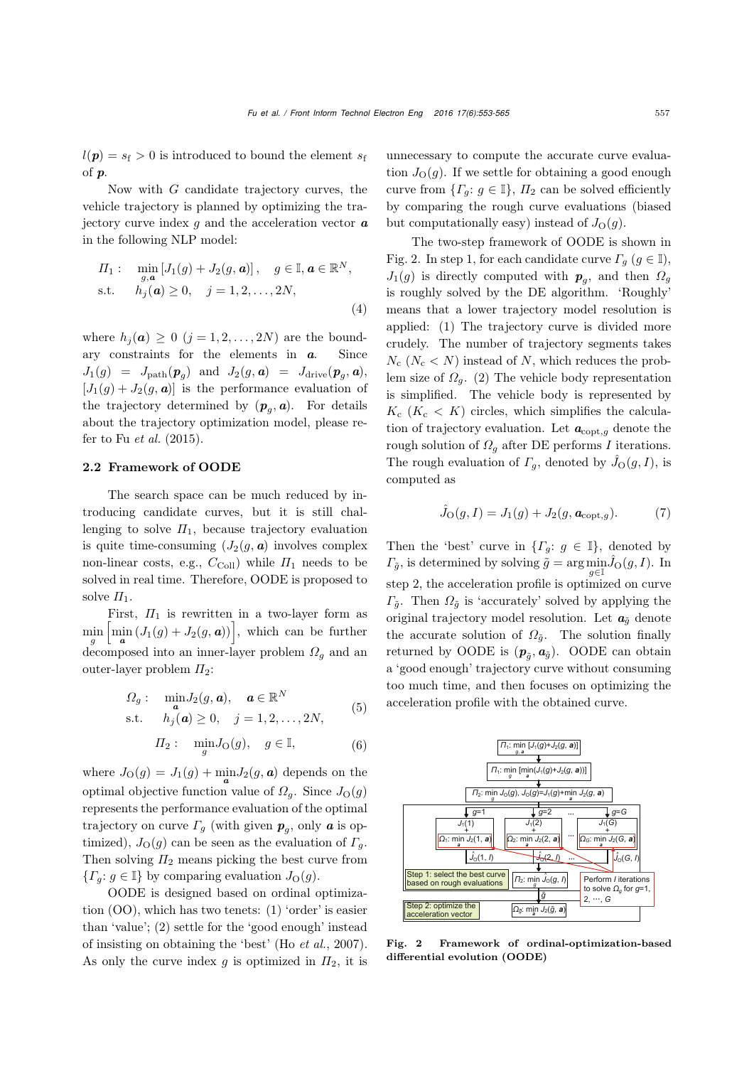$l(\boldsymbol{p}) = s_f > 0$  is introduced to bound the element  $s_f$ of *p*.

Now with G candidate trajectory curves, the vehicle trajectory is planned by optimizing the trajectory curve index g and the acceleration vector *a* in the following NLP model:

$$
\Pi_1: \min_{g,\mathbf{a}} [J_1(g) + J_2(g,\mathbf{a})], \quad g \in \mathbb{I}, \mathbf{a} \in \mathbb{R}^N,
$$
  
s.t.  $h_j(\mathbf{a}) \ge 0, \quad j = 1, 2, ..., 2N,$  (4)

where  $h_j(\boldsymbol{a}) \geq 0$   $(j = 1, 2, ..., 2N)$  are the boundary constraints for the elements in *a*. Since  $J_1(g) = J_{\text{path}}(\boldsymbol{p}_q)$  and  $J_2(g, \boldsymbol{a}) = J_{\text{drive}}(\boldsymbol{p}_q, \boldsymbol{a}),$  $[J_1(g) + J_2(g, a)]$  is the performance evaluation of the trajectory determined by  $(p_q, a)$ . For details about the trajectory optimization model, please refer to Fu *[et al.](#page-12-14)* [\(2015](#page-12-14)).

#### 2.2 Framework of OODE

The search space can be much reduced by introducing candidate curves, but it is still challenging to solve  $\Pi_1$ , because trajectory evaluation is quite time-consuming  $(J_2(q, a)$  involves complex non-linear costs, e.g.,  $C_{\text{Coll}}$ ) while  $\Pi_1$  needs to be solved in real time. Therefore, OODE is proposed to solve  $\Pi_1$ .

First,  $\Pi_1$  is rewritten in a two-layer form as  $\min_{g} \left[ \min_{\mathbf{a}} \left( J_1(g) + J_2(g, \mathbf{a}) \right) \right]$ , which can be further decomposed into an inner-layer problem  $\Omega<sub>g</sub>$  and an outer-layer problem  $\Pi_2$ :

$$
\Omega_g: \quad \min_{\mathbf{a}} J_2(g, \mathbf{a}), \quad \mathbf{a} \in \mathbb{R}^N
$$
  
s.t. 
$$
h_j(\mathbf{a}) \ge 0, \quad j = 1, 2, \dots, 2N,
$$
 (5)

$$
\Pi_2: \quad \min_g J_\mathcal{O}(g), \quad g \in \mathbb{I}, \tag{6}
$$

where  $J_O(g) = J_1(g) + \min_{\alpha} J_2(g, \alpha)$  depends on the optimal objective function value of  $\Omega_q$ . Since  $J_{\Omega}(q)$ represents the performance evaluation of the optimal trajectory on curve  $\Gamma_q$  (with given  $p_q$ , only  $\boldsymbol{a}$  is optimized),  $J_{\text{O}}(g)$  can be seen as the evaluation of  $\Gamma_g$ . Then solving  $\Pi_2$  means picking the best curve from  ${T_q: g \in \mathbb{I}}$  by comparing evaluation  $J_{\mathcal{O}}(g)$ .

OODE is designed based on ordinal optimization (OO), which has two tenets: (1) 'order' is easier than 'value'; (2) settle for the 'good enough' instead of insisting on obtaining the 'best' (Ho *[et al.](#page-12-23)*, [2007\)](#page-12-23). As only the curve index g is optimized in  $\Pi_2$ , it is

unnecessary to compute the accurate curve evaluation  $J_{\mathcal{O}}(g)$ . If we settle for obtaining a good enough curve from  $\{ \Gamma_q : g \in \mathbb{I} \}, \Pi_2$  can be solved efficiently by comparing the rough curve evaluations (biased but computationally easy) instead of  $J_{\Omega}(q)$ .

The two-step framework of OODE is shown in Fig. [2.](#page-4-0) In step 1, for each candidate curve  $\Gamma_q$   $(g \in \mathbb{I}),$  $J_1(g)$  is directly computed with  $p_q$ , and then  $\Omega_q$ is roughly solved by the DE algorithm. 'Roughly' means that a lower trajectory model resolution is applied: (1) The trajectory curve is divided more crudely. The number of trajectory segments takes  $N_c$  ( $N_c$  < N) instead of N, which reduces the problem size of  $\Omega_q$ . (2) The vehicle body representation is simplified. The vehicle body is represented by  $K_c$  ( $K_c$  < K) circles, which simplifies the calculation of trajectory evaluation. Let  $a_{\text{copt},g}$  denote the rough solution of  $\Omega<sub>q</sub>$  after DE performs I iterations. The rough evaluation of  $\Gamma_g$ , denoted by  $\hat{J}_O(g, I)$ , is computed as

<span id="page-4-1"></span>
$$
\hat{J}_{\mathcal{O}}(g, I) = J_1(g) + J_2(g, \mathbf{a}_{\text{copt},g}). \tag{7}
$$

Then the 'best' curve in  $\{ \Gamma_g : g \in \mathbb{I} \}$ , denoted by  $\Gamma_{\tilde{g}}$ , is determined by solving  $\tilde{g} = \arg \min_{g \in \mathbb{I}} \hat{J}_{\mathcal{O}}(g, I)$ . In step 2, the acceleration profile is optimized on curve  $\Gamma_{\tilde{g}}$ . Then  $\Omega_{\tilde{g}}$  is 'accurately' solved by applying the original trajectory model resolution. Let  $a_{\tilde{q}}$  denote the accurate solution of  $\Omega_{\tilde{q}}$ . The solution finally returned by OODE is  $(p_{\tilde{a}}, a_{\tilde{q}})$ . OODE can obtain a 'good enough' trajectory curve without consuming too much time, and then focuses on optimizing the acceleration profile with the obtained curve.



<span id="page-4-0"></span>Fig. 2 Framework of ordinal-optimization-based differential evolution (OODE)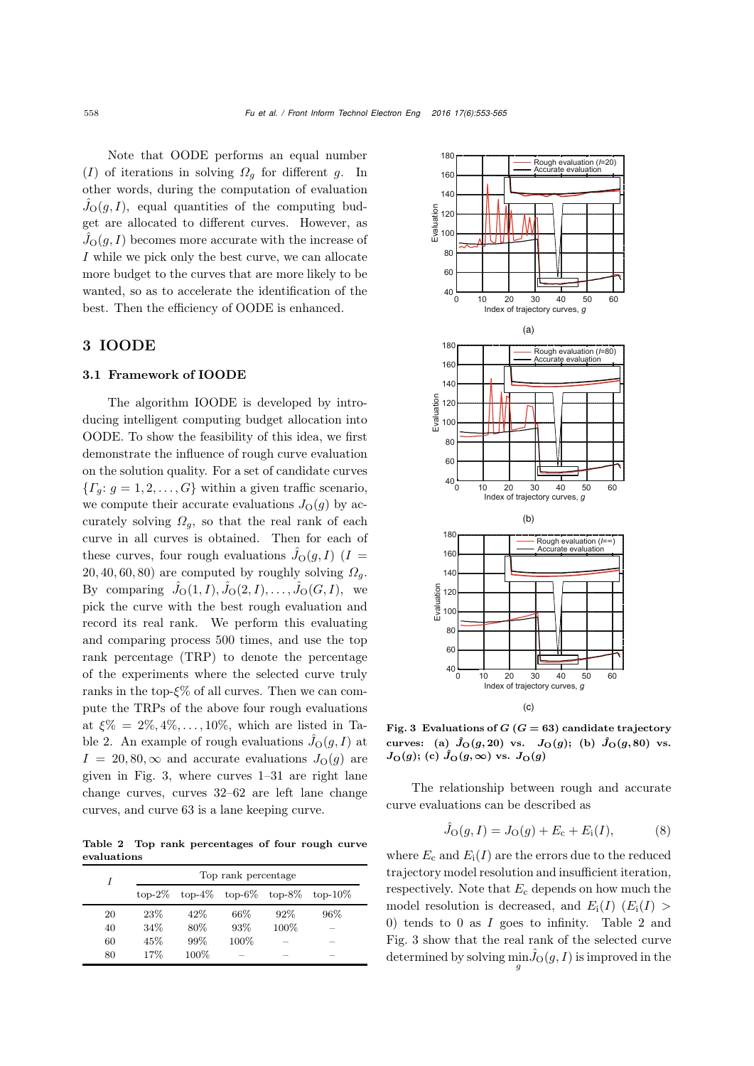Note that OODE performs an equal number (I) of iterations in solving  $\Omega_q$  for different g. In other words, during the computation of evaluation  $\hat{J}_O(g,I)$ , equal quantities of the computing budget are allocated to different curves. However, as  $\hat{J}_O(g,I)$  becomes more accurate with the increase of I while we pick only the best curve, we can allocate more budget to the curves that are more likely to be wanted, so as to accelerate the identification of the best. Then the efficiency of OODE is enhanced.

### 3 IOODE

#### 3.1 Framework of IOODE

The algorithm IOODE is developed by introducing intelligent computing budget allocation into OODE. To show the feasibility of this idea, we first demonstrate the influence of rough curve evaluation on the solution quality. For a set of candidate curves  ${T<sub>q</sub>: g = 1, 2, ..., G}$  within a given traffic scenario, we compute their accurate evaluations  $J_{\mathcal{O}}(g)$  by accurately solving  $\Omega_g$ , so that the real rank of each curve in all curves is obtained. Then for each of these curves, four rough evaluations  $\hat{J}_O(g, I)$  (I = 20, 40, 60, 80) are computed by roughly solving  $\Omega<sub>g</sub>$ . By comparing  $\hat{J}_O(1,I), \hat{J}_O(2,I), \ldots, \hat{J}_O(G,I)$ , we pick the curve with the best rough evaluation and record its real rank. We perform this evaluating and comparing process 500 times, and use the top rank percentage (TRP) to denote the percentage of the experiments where the selected curve truly ranks in the top- $\xi\%$  of all curves. Then we can compute the TRPs of the above four rough evaluations at  $\xi\% = 2\%, 4\%, \ldots, 10\%,$  which are listed in Ta-ble [2.](#page-5-0) An example of rough evaluations  $\hat{J}_O(g, I)$  at  $I = 20, 80, \infty$  and accurate evaluations  $J<sub>O</sub>(q)$  are given in Fig. [3,](#page-5-1) where curves 1–31 are right lane change curves, curves 32–62 are left lane change curves, and curve 63 is a lane keeping curve.

<span id="page-5-0"></span>Table 2 Top rank percentages of four rough curve evaluations

| I  | Top rank percentage |         |                           |        |            |  |
|----|---------------------|---------|---------------------------|--------|------------|--|
|    | $\text{top-}2\%$    |         | $top-4\%$ top-6\% top-8\% |        | $top-10\%$ |  |
| 20 | 23%                 | 42\%    | 66%                       | $92\%$ | 96%        |  |
| 40 | 34\%                | 80\%    | 93%                       | 100%   |            |  |
| 60 | 45%                 | 99%     | 100%                      |        |            |  |
| 80 | 17%                 | $100\%$ |                           |        |            |  |



<span id="page-5-1"></span>Fig. 3 Evaluations of  $G$   $(G = 63)$  candidate trajectory curves: (a)  $\hat{J}_O(g, 20)$  vs.  $J_O(g)$ ; (b)  $\hat{J}_O(g, 80)$  vs.  $J_{\mathcal{O}}(g)$ ; (c)  $\hat{J}_{\mathcal{O}}(g, \infty)$  vs.  $J_{\mathcal{O}}(g)$ 

The relationship between rough and accurate curve evaluations can be described as

$$
\hat{J}_{\mathcal{O}}(g, I) = J_{\mathcal{O}}(g) + E_{\mathbf{c}} + E_{\mathbf{i}}(I), \tag{8}
$$

where  $E_c$  and  $E_i(I)$  are the errors due to the reduced trajectory model resolution and insufficient iteration, respectively. Note that  $E_c$  depends on how much the model resolution is decreased, and  $E_i(I)$  ( $E_i(I)$ ) 0) tends to 0 as I goes to infinity. Table [2](#page-5-0) and Fig. [3](#page-5-1) show that the real rank of the selected curve determined by solving  $\min_{g} \hat{J}_{\mathcal{O}}(g, I)$  is improved in the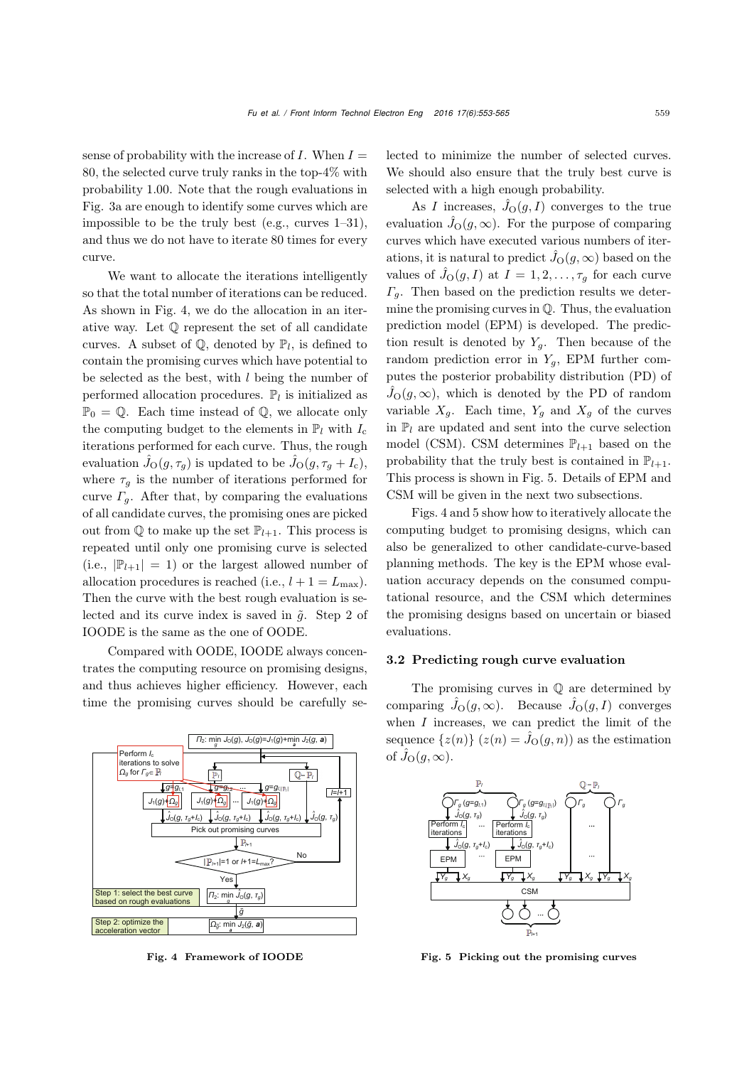sense of probability with the increase of  $I$ . When  $I =$ 80, the selected curve truly ranks in the top-4% with probability 1.00. Note that the rough evaluations in Fig. 3a are enough to identify some curves which are impossible to be the truly best (e.g., curves 1–31), and thus we do not have to iterate 80 times for every curve.

We want to allocate the iterations intelligently so that the total number of iterations can be reduced. As shown in Fig. [4,](#page-6-0) we do the allocation in an iterative way. Let Q represent the set of all candidate curves. A subset of  $\mathbb{Q}$ , denoted by  $\mathbb{P}_l$ , is defined to contain the promising curves which have potential to be selected as the best, with  $l$  being the number of performed allocation procedures.  $\mathbb{P}_l$  is initialized as  $\mathbb{P}_0 = \mathbb{Q}$ . Each time instead of  $\mathbb{Q}$ , we allocate only the computing budget to the elements in  $\mathbb{P}_l$  with  $I_c$ iterations performed for each curve. Thus, the rough evaluation  $\hat{J}_O(g, \tau_g)$  is updated to be  $\hat{J}_O(g, \tau_g + I_c)$ , where  $\tau_g$  is the number of iterations performed for curve  $\Gamma_g$ . After that, by comparing the evaluations of all candidate curves, the promising ones are picked out from  $\mathbb Q$  to make up the set  $\mathbb P_{l+1}$ . This process is repeated until only one promising curve is selected (i.e.,  $|\mathbb{P}_{l+1}| = 1$ ) or the largest allowed number of allocation procedures is reached (i.e.,  $l + 1 = L_{\text{max}}$ ). Then the curve with the best rough evaluation is selected and its curve index is saved in  $\tilde{g}$ . Step 2 of IOODE is the same as the one of OODE.

Compared with OODE, IOODE always concentrates the computing resource on promising designs, and thus achieves higher efficiency. However, each time the promising curves should be carefully se-



<span id="page-6-0"></span>Fig. 4 Framework of IOODE

lected to minimize the number of selected curves. We should also ensure that the truly best curve is selected with a high enough probability.

As I increases,  $\hat{J}_O(g, I)$  converges to the true evaluation  $\hat{J}_O(g,\infty)$ . For the purpose of comparing curves which have executed various numbers of iterations, it is natural to predict  $\hat{J}_O(g,\infty)$  based on the values of  $\hat{J}_O(g, I)$  at  $I = 1, 2, \ldots, \tau_g$  for each curve  $\Gamma_q$ . Then based on the prediction results we determine the promising curves in  $Q$ . Thus, the evaluation prediction model (EPM) is developed. The prediction result is denoted by  $Y_q$ . Then because of the random prediction error in  $Y_g$ , EPM further computes the posterior probability distribution (PD) of  $\hat{J}_O(g,\infty)$ , which is denoted by the PD of random variable  $X_g$ . Each time,  $Y_g$  and  $X_g$  of the curves in  $\mathbb{P}_l$  are updated and sent into the curve selection model (CSM). CSM determines  $\mathbb{P}_{l+1}$  based on the probability that the truly best is contained in  $\mathbb{P}_{l+1}$ . This process is shown in Fig. [5.](#page-6-1) Details of EPM and CSM will be given in the next two subsections.

Figs. [4](#page-6-0) and [5](#page-6-1) show how to iteratively allocate the computing budget to promising designs, which can also be generalized to other candidate-curve-based planning methods. The key is the EPM whose evaluation accuracy depends on the consumed computational resource, and the CSM which determines the promising designs based on uncertain or biased evaluations.

#### 3.2 Predicting rough curve evaluation

The promising curves in Q are determined by comparing  $\hat{J}_O(g,\infty)$ . Because  $\hat{J}_O(g,I)$  converges when  $I$  increases, we can predict the limit of the sequence  $\{z(n)\}\ (z(n) = \hat{J}_{\mathcal{O}}(g, n))$  as the estimation of  $\hat{J}_O(g,\infty)$ .



<span id="page-6-1"></span>Fig. 5 Picking out the promising curves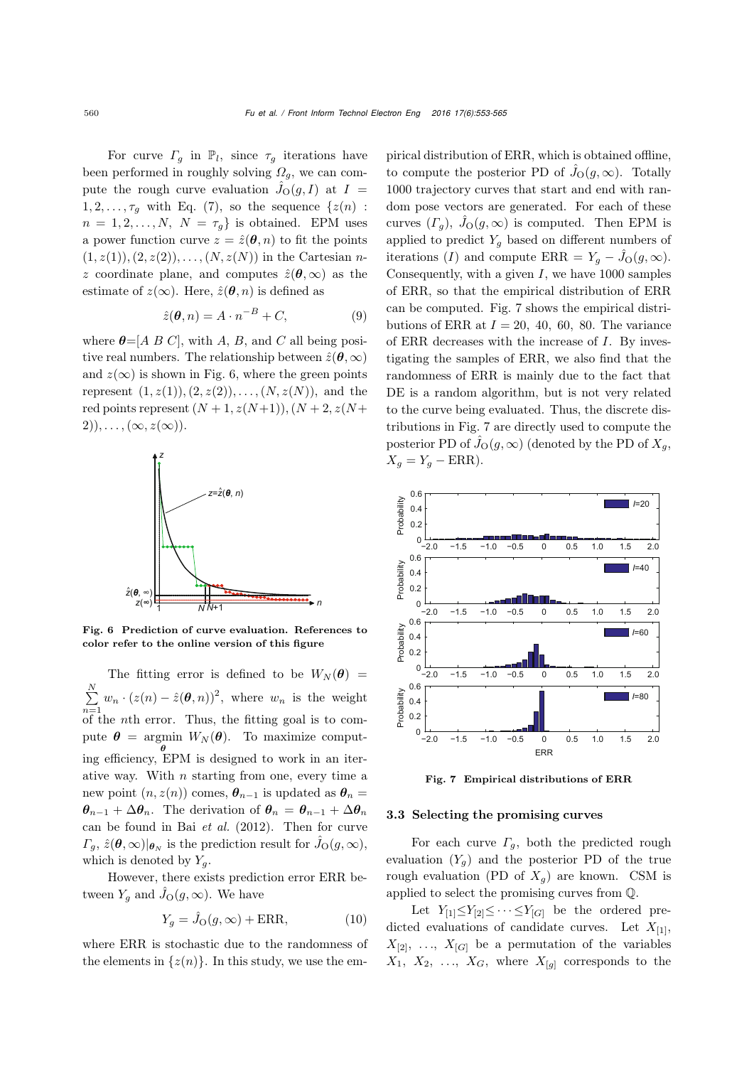For curve  $\Gamma_g$  in  $\mathbb{P}_l$ , since  $\tau_g$  iterations have been performed in roughly solving  $\Omega_q$ , we can compute the rough curve evaluation  $\hat{J}_O(g, I)$  at  $I =$  $1, 2, \ldots, \tau_g$  with Eq. [\(7\)](#page-4-1), so the sequence  $\{z(n)$ :  $n = 1, 2, \ldots, N$ ,  $N = \tau_q$  is obtained. EPM uses a power function curve  $z = \hat{z}(\theta, n)$  to fit the points  $(1, z(1)), (2, z(2)), \ldots, (N, z(N))$  in the Cartesian nz coordinate plane, and computes  $\hat{z}(\theta,\infty)$  as the estimate of  $z(\infty)$ . Here,  $\hat{z}(\theta, n)$  is defined as

$$
\hat{z}(\boldsymbol{\theta}, n) = A \cdot n^{-B} + C,\tag{9}
$$

where  $\theta = [A \ B \ C]$ , with A, B, and C all being positive real numbers. The relationship between  $\hat{z}(\theta,\infty)$ and  $z(\infty)$  is shown in Fig. [6,](#page-7-0) where the green points represent  $(1, z(1)), (2, z(2)), \ldots, (N, z(N))$ , and the red points represent  $(N + 1, z(N+1)), (N + 2, z(N +$  $2),\ldots,(\infty,z(\infty)).$ 



<span id="page-7-0"></span>Fig. 6 Prediction of curve evaluation. References to color refer to the online version of this figure

The fitting error is defined to be  $W_N(\theta)$  =  $\sum^N$  $\sum_{n=1}^{N} w_n \cdot (z(n) - \hat{z}(\boldsymbol{\theta}, n))^2$ , where  $w_n$  is the weight of the nth error. Thus, the fitting goal is to compute  $\boldsymbol{\theta} = \text{argmin } W_N(\boldsymbol{\theta})$ . To maximize comput*θ* ing efficiency, EPM is designed to work in an iterative way. With  $n$  starting from one, every time a new point  $(n, z(n))$  comes,  $\theta_{n-1}$  is updated as  $\theta_n =$  $\theta_{n-1} + \Delta \theta_n$ . The derivation of  $\theta_n = \theta_{n-1} + \Delta \theta_n$ can be found in Bai *[et al.](#page-12-24)* [\(2012\)](#page-12-24). Then for curve  $\Gamma_g$ ,  $\hat{z}(\theta, \infty)|_{\theta_N}$  is the prediction result for  $\hat{J}_O(g, \infty)$ , which is denoted by  $Y_q$ .

However, there exists prediction error ERR between  $Y_g$  and  $\hat{J}_O(g,\infty)$ . We have

$$
Y_g = \hat{J}_O(g, \infty) + \text{ERR},\tag{10}
$$

where ERR is stochastic due to the randomness of the elements in  $\{z(n)\}\$ . In this study, we use the empirical distribution of ERR, which is obtained offline, to compute the posterior PD of  $\hat{J}_O(g,\infty)$ . Totally 1000 trajectory curves that start and end with random pose vectors are generated. For each of these curves  $(\Gamma_g)$ ,  $\hat{J}_O(g,\infty)$  is computed. Then EPM is applied to predict  $Y_g$  based on different numbers of iterations (I) and compute  $\text{ERR} = Y_g - \hat{J}_O(g, \infty)$ . Consequently, with a given  $I$ , we have 1000 samples of ERR, so that the empirical distribution of ERR can be computed. Fig. [7](#page-7-1) shows the empirical distributions of ERR at  $I = 20, 40, 60, 80$ . The variance of ERR decreases with the increase of I. By investigating the samples of ERR, we also find that the randomness of ERR is mainly due to the fact that DE is a random algorithm, but is not very related to the curve being evaluated. Thus, the discrete distributions in Fig. [7](#page-7-1) are directly used to compute the posterior PD of  $\hat{J}_O(g,\infty)$  (denoted by the PD of  $X_g$ ,  $X_q = Y_q - ERR$ ).



<span id="page-7-1"></span>Fig. 7 Empirical distributions of ERR

#### 3.3 Selecting the promising curves

For each curve  $\Gamma_q$ , both the predicted rough evaluation  $(Y_q)$  and the posterior PD of the true rough evaluation (PD of  $X_q$ ) are known. CSM is applied to select the promising curves from Q.

Let  $Y_{[1]} \leq Y_{[2]} \leq \cdots \leq Y_{[G]}$  be the ordered predicted evaluations of candidate curves. Let  $X_{[1]}$ ,  $X_{[2]}, \ldots, X_{[G]}$  be a permutation of the variables  $X_1, X_2, \ldots, X_G$ , where  $X_{[q]}$  corresponds to the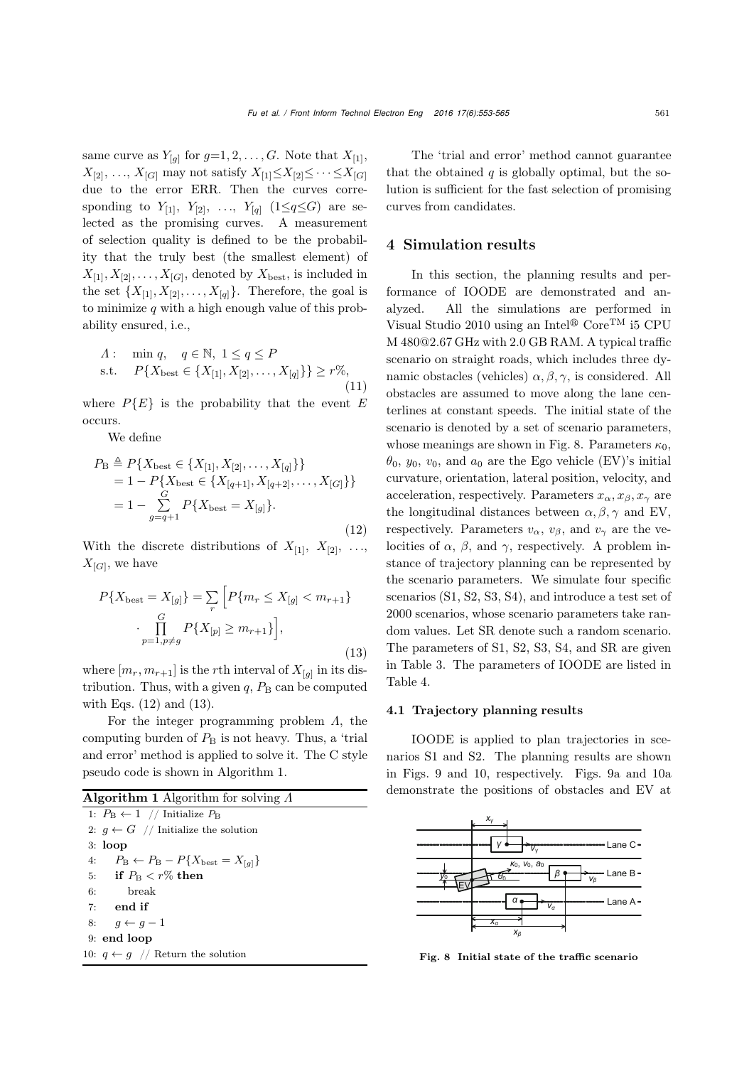same curve as  $Y_{[g]}$  for  $g=1, 2, \ldots, G$ . Note that  $X_{[1]}$ ,  $X_{[2]}, \ldots, X_{[G]}$  may not satisfy  $X_{[1]} \leq X_{[2]} \leq \cdots \leq X_{[G]}$ due to the error ERR. Then the curves corresponding to  $Y_{[1]}$ ,  $Y_{[2]}$ , ...,  $Y_{[q]}$  (1≤q≤G) are selected as the promising curves. A measurement of selection quality is defined to be the probability that the truly best (the smallest element) of  $X_{[1]}, X_{[2]}, \ldots, X_{[G]}$ , denoted by  $X_{\text{best}}$ , is included in the set  $\{X_{[1]}, X_{[2]}, \ldots, X_{[q]}\}.$  Therefore, the goal is to minimize  $q$  with a high enough value of this probability ensured, i.e.,

$$
A: \min q, \quad q \in \mathbb{N}, \ 1 \le q \le P
$$
  
s.t. 
$$
P\{X_{\text{best}} \in \{X_{[1]}, X_{[2]}, \dots, X_{[q]}\}\} \ge r\%,
$$
(11)

where  $P{E}$  is the probability that the event E occurs.

We define

<span id="page-8-0"></span>
$$
P_{\rm B} \triangleq P\{X_{\rm best} \in \{X_{[1]}, X_{[2]}, \dots, X_{[q]}\}\}\
$$
  
= 1 - P\{X\_{\rm best} \in \{X\_{[q+1]}, X\_{[q+2]}, \dots, X\_{[G]}\}\}\n  
= 1 - \sum\_{g=q+1}^{G} P\{X\_{\rm best} = X\_{[g]}\}. (12)

With the discrete distributions of  $X_{[1]}$ ,  $X_{[2]}$ , ...,  $X_{[G]}$ , we have

<span id="page-8-1"></span>
$$
P\{X_{\text{best}} = X_{[g]}\} = \sum_{r} \left[ P\{m_r \le X_{[g]} < m_{r+1}\} \right]
$$
\n
$$
\cdot \prod_{p=1, p \ne g}^{G} P\{X_{[p]} \ge m_{r+1}\} \Big],
$$
\n(13)

where  $[m_r, m_{r+1}]$  is the rth interval of  $X_{[q]}$  in its distribution. Thus, with a given  $q$ ,  $P_\text{B}$  can be computed with Eqs. [\(12\)](#page-8-0) and [\(13\)](#page-8-1).

For the integer programming problem  $\Lambda$ , the computing burden of  $P_\text{B}$  is not heavy. Thus, a 'trial and error' method is applied to solve it. The C style pseudo code is shown in Algorithm 1.

| <b>Algorithm 1</b> Algorithm for solving $\Lambda$ |  |  |
|----------------------------------------------------|--|--|

| 1: $P_{\rm B} \leftarrow 1$ // Initialize $P_{\rm B}$              |
|--------------------------------------------------------------------|
| 2: $q \leftarrow G$ // Initialize the solution                     |
| $3:$ loop                                                          |
| 4: $P_{\rm B} \leftarrow P_{\rm B} - P\{X_{\rm best} = X_{[q]}\}\$ |
| 5: if $P_{\rm B} < r\%$ then                                       |
| 6: break                                                           |
| $7:$ end if                                                        |
| 8: $q \leftarrow q-1$                                              |
| $9:$ end loop                                                      |
| 10: $q \leftarrow q$ // Return the solution                        |
|                                                                    |

The 'trial and error' method cannot guarantee that the obtained  $q$  is globally optimal, but the solution is sufficient for the fast selection of promising curves from candidates.

## 4 Simulation results

In this section, the planning results and performance of IOODE are demonstrated and analyzed. All the simulations are performed in Visual Studio 2010 using an Intel<sup>®</sup> Core<sup>TM</sup> i5 CPU M 480@2.67 GHz with 2.0 GB RAM. A typical traffic scenario on straight roads, which includes three dynamic obstacles (vehicles)  $\alpha, \beta, \gamma$ , is considered. All obstacles are assumed to move along the lane centerlines at constant speeds. The initial state of the scenario is denoted by a set of scenario parameters, whose meanings are shown in Fig. [8.](#page-8-2) Parameters  $\kappa_0$ ,  $\theta_0$ ,  $y_0$ ,  $v_0$ , and  $a_0$  are the Ego vehicle (EV)'s initial curvature, orientation, lateral position, velocity, and acceleration, respectively. Parameters  $x_{\alpha}, x_{\beta}, x_{\gamma}$  are the longitudinal distances between  $\alpha, \beta, \gamma$  and EV, respectively. Parameters  $v_{\alpha}$ ,  $v_{\beta}$ , and  $v_{\gamma}$  are the velocities of  $\alpha$ ,  $\beta$ , and  $\gamma$ , respectively. A problem instance of trajectory planning can be represented by the scenario parameters. We simulate four specific scenarios (S1, S2, S3, S4), and introduce a test set of 2000 scenarios, whose scenario parameters take random values. Let SR denote such a random scenario. The parameters of S1, S2, S3, S4, and SR are given in Table [3.](#page-9-0) The parameters of IOODE are listed in Table [4.](#page-10-0)

### 4.1 Trajectory planning results

IOODE is applied to plan trajectories in scenarios S1 and S2. The planning results are shown in Figs. [9](#page-9-1) and [10,](#page-9-2) respectively. Figs. 9a and 10a demonstrate the positions of obstacles and EV at



<span id="page-8-2"></span>Fig. 8 Initial state of the traffic scenario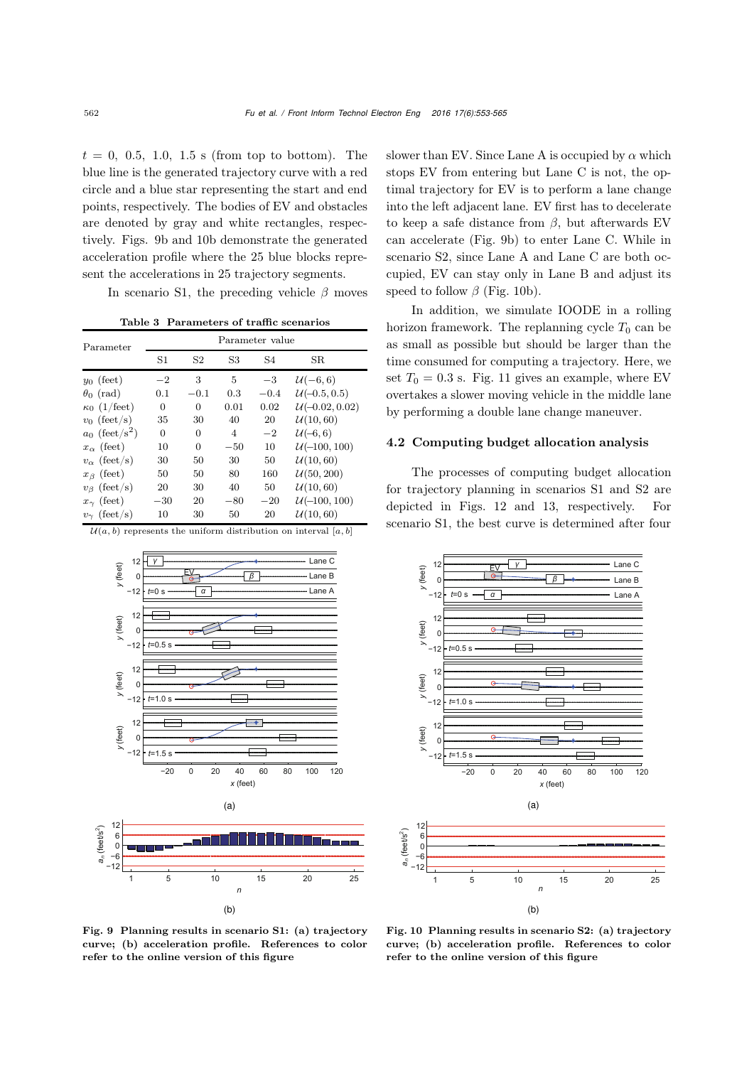$t = 0, 0.5, 1.0, 1.5$  s (from top to bottom). The blue line is the generated trajectory curve with a red circle and a blue star representing the start and end points, respectively. The bodies of EV and obstacles are denoted by gray and white rectangles, respectively. Figs. 9b and 10b demonstrate the generated acceleration profile where the 25 blue blocks represent the accelerations in 25 trajectory segments.

In scenario S1, the preceding vehicle  $\beta$  moves

<span id="page-9-0"></span>Table 3 Parameters of traffic scenarios

| Parameter                    | Parameter value |        |       |        |                  |  |  |
|------------------------------|-----------------|--------|-------|--------|------------------|--|--|
|                              | S1              | S2     | S3    | S4     | SR.              |  |  |
| $y_0$ (feet)                 | $-2$            | 3      | 5     | $-3$   | $U(-6,6)$        |  |  |
| $\theta_0$ (rad)             | 0.1             | $-0.1$ | 0.3   | $-0.4$ | $U(-0.5, 0.5)$   |  |  |
| $\kappa_0$ (1/feet)          | 0               | 0      | 0.01  | 0.02   | $U(-0.02, 0.02)$ |  |  |
| $v_0$ (feet/s)               | 35              | 30     | 40    | 20     | U(10, 60)        |  |  |
| $a_0$ (feet/s <sup>2</sup> ) | 0               | 0      | 4     | $-2$   | $U(-6, 6)$       |  |  |
| $x_{\alpha}$ (feet)          | 10              | 0      | $-50$ | 10     | $U(-100, 100)$   |  |  |
| $v_{\alpha}$ (feet/s)        | 30              | 50     | 30    | 50     | U(10, 60)        |  |  |
| $x_{\beta}$ (feet)           | 50              | 50     | 80    | 160    | U(50, 200)       |  |  |
| $v_{\beta}$ (feet/s)         | 20              | 30     | 40    | 50     | U(10, 60)        |  |  |
| $x_{\gamma}$ (feet)          | $-30$           | 20     | $-80$ | $-20$  | $U(-100, 100)$   |  |  |
| $v_{\gamma}$ (feet/s)        | 10              | 30     | 50    | 20     | U(10, 60)        |  |  |

 $\mathcal{U}(a, b)$  represents the uniform distribution on interval [a, b]



slower than EV. Since Lane A is occupied by  $\alpha$  which stops EV from entering but Lane C is not, the optimal trajectory for EV is to perform a lane change into the left adjacent lane. EV first has to decelerate to keep a safe distance from  $\beta$ , but afterwards EV can accelerate (Fig. 9b) to enter Lane C. While in scenario S2, since Lane A and Lane C are both occupied, EV can stay only in Lane B and adjust its speed to follow  $\beta$  (Fig. 10b).

In addition, we simulate IOODE in a rolling horizon framework. The replanning cycle  $T_0$  can be as small as possible but should be larger than the time consumed for computing a trajectory. Here, we set  $T_0 = 0.3$  s. Fig. [11](#page-10-1) gives an example, where EV overtakes a slower moving vehicle in the middle lane by performing a double lane change maneuver.

#### 4.2 Computing budget allocation analysis

The processes of computing budget allocation for trajectory planning in scenarios S1 and S2 are depicted in Figs. [12](#page-10-2) and [13,](#page-11-0) respectively. For scenario S1, the best curve is determined after four



<span id="page-9-1"></span>Fig. 9 Planning results in scenario S1: (a) trajectory curve; (b) acceleration profile. References to color refer to the online version of this figure

<span id="page-9-2"></span>Fig. 10 Planning results in scenario S2: (a) trajectory curve; (b) acceleration profile. References to color refer to the online version of this figure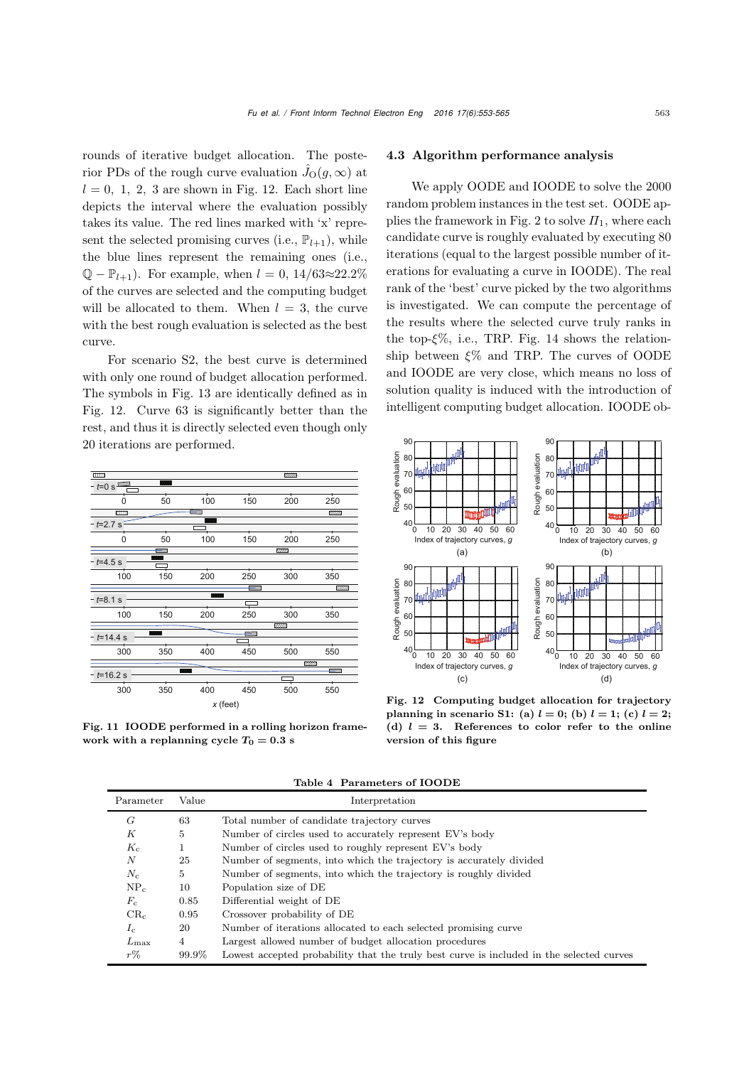rounds of iterative budget allocation. The posterior PDs of the rough curve evaluation  $\hat{J}_O(g,\infty)$  at  $l = 0, 1, 2, 3$  are shown in Fig. 12. Each short line depicts the interval where the evaluation possibly takes its value. The red lines marked with 'x' represent the selected promising curves (i.e.,  $\mathbb{P}_{l+1}$ ), while the blue lines represent the remaining ones (i.e.,  $\mathbb{Q} - \mathbb{P}_{l+1}$ . For example, when  $l = 0$ , 14/63≈22.2% of the curves are selected and the computing budget will be allocated to them. When  $l = 3$ , the curve with the best rough evaluation is selected as the best curve.

For scenario S2, the best curve is determined with only one round of budget allocation performed. The symbols in Fig. [13](#page-11-0) are identically defined as in Fig. [12.](#page-10-2) Curve 63 is significantly better than the rest, and thus it is directly selected even though only 20 iterations are performed.



<span id="page-10-1"></span>Fig. 11 IOODE performed in a rolling horizon framework with a replanning cycle  $T_0 = 0.3$  s

#### 4.3 Algorithm performance analysis

We apply OODE and IOODE to solve the 2000 random problem instances in the test set. OODE ap-plies the framework in Fig. [2](#page-4-0) to solve  $\Pi_1$ , where each candidate curve is roughly evaluated by executing 80 iterations (equal to the largest possible number of iterations for evaluating a curve in IOODE). The real rank of the 'best' curve picked by the two algorithms is investigated. We can compute the percentage of the results where the selected curve truly ranks in the top- $\xi\%$ , i.e., TRP. Fig. [14](#page-11-1) shows the relationship between  $\xi$ % and TRP. The curves of OODE and IOODE are very close, which means no loss of solution quality is induced with the introduction of intelligent computing budget allocation. IOODE ob-



<span id="page-10-2"></span>Fig. 12 Computing budget allocation for trajectory planning in scenario S1: (a)  $l = 0$ ; (b)  $l = 1$ ; (c)  $l = 2$ ; (d)  $l = 3$ . References to color refer to the online version of this figure

| Parameter     | Value | Interpretation                                                                           |
|---------------|-------|------------------------------------------------------------------------------------------|
| G             | 63    | Total number of candidate trajectory curves                                              |
| К             | 5     | Number of circles used to accurately represent EV's body                                 |
| $K_c$         | 1     | Number of circles used to roughly represent EV's body                                    |
| N             | 25    | Number of segments, into which the trajectory is accurately divided                      |
| $N_c$         | 5     | Number of segments, into which the trajectory is roughly divided                         |
| $NP_c$        | 10    | Population size of DE                                                                    |
| $F_c$         | 0.85  | Differential weight of DE                                                                |
| $CR_c$        | 0.95  | Crossover probability of DE                                                              |
| $I_c$         | 20    | Number of iterations allocated to each selected promising curve                          |
| $L_{\rm max}$ | 4     | Largest allowed number of budget allocation procedures                                   |
| $r\%$         | 99.9% | Lowest accepted probability that the truly best curve is included in the selected curves |

<span id="page-10-0"></span>Table 4 Parameters of IOODE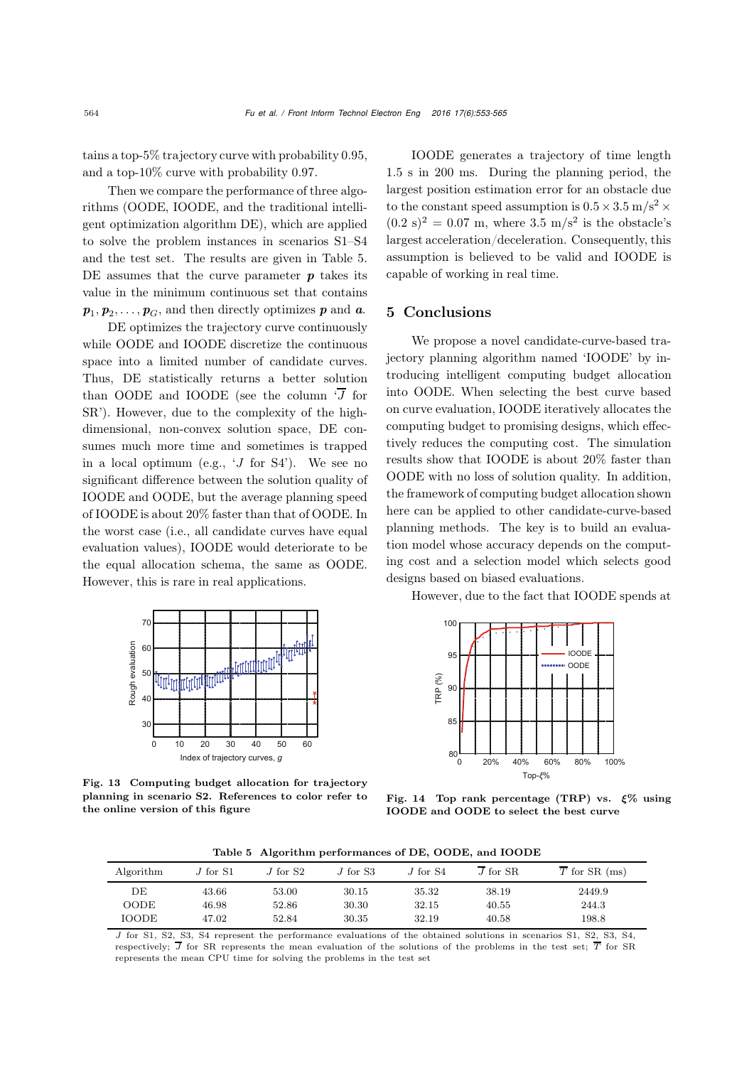tains a top-5% trajectory curve with probability 0.95, and a top-10% curve with probability 0.97.

Then we compare the performance of three algorithms (OODE, IOODE, and the traditional intelligent optimization algorithm DE), which are applied to solve the problem instances in scenarios S1–S4 and the test set. The results are given in Table [5.](#page-11-2) DE assumes that the curve parameter *p* takes its value in the minimum continuous set that contains  $p_1, p_2, \ldots, p_G$ , and then directly optimizes *p* and *a*.

DE optimizes the trajectory curve continuously while OODE and IOODE discretize the continuous space into a limited number of candidate curves. Thus, DE statistically returns a better solution than OODE and IOODE (see the column  $\overline{J}$  for SR'). However, due to the complexity of the highdimensional, non-convex solution space, DE consumes much more time and sometimes is trapped in a local optimum (e.g., 'J for S4'). We see no significant difference between the solution quality of IOODE and OODE, but the average planning speed of IOODE is about 20% faster than that of OODE. In the worst case (i.e., all candidate curves have equal evaluation values), IOODE would deteriorate to be the equal allocation schema, the same as OODE. However, this is rare in real applications.



<span id="page-11-0"></span>Fig. 13 Computing budget allocation for trajectory planning in scenario S2. References to color refer to the online version of this figure

IOODE generates a trajectory of time length 1.5 s in 200 ms. During the planning period, the largest position estimation error for an obstacle due to the constant speed assumption is  $0.5 \times 3.5$  m/s<sup>2</sup>  $\times$  $(0.2 \text{ s})^2 = 0.07 \text{ m}$ , where 3.5 m/s<sup>2</sup> is the obstacle's largest acceleration/deceleration. Consequently, this assumption is believed to be valid and IOODE is capable of working in real time.

### 5 Conclusions

We propose a novel candidate-curve-based trajectory planning algorithm named 'IOODE' by introducing intelligent computing budget allocation into OODE. When selecting the best curve based on curve evaluation, IOODE iteratively allocates the computing budget to promising designs, which effectively reduces the computing cost. The simulation results show that IOODE is about 20% faster than OODE with no loss of solution quality. In addition, the framework of computing budget allocation shown here can be applied to other candidate-curve-based planning methods. The key is to build an evaluation model whose accuracy depends on the computing cost and a selection model which selects good designs based on biased evaluations.

However, due to the fact that IOODE spends at



<span id="page-11-1"></span>Fig. 14 Top rank percentage (TRP) vs. *ξ*% using IOODE and OODE to select the best curve

<span id="page-11-2"></span>Table 5 Algorithm performances of DE, OODE, and IOODE

| Algorithm    | $J$ for $S1$ | $J$ for $S2$ | $J$ for S3 | $J$ for $S4$ | $J$ for $SR$ | $\overline{T}$ for SR (ms) |
|--------------|--------------|--------------|------------|--------------|--------------|----------------------------|
| DE           | 43.66        | 53.00        | 30.15      | 35.32        | 38.19        | 2449.9                     |
| OODE         | 46.98        | 52.86        | 30.30      | 32.15        | 40.55        | 244.3                      |
| <b>IOODE</b> | 47.02        | 52.84        | 30.35      | 32.19        | 40.58        | 198.8                      |

J for S1, S2, S3, S4 represent the performance evaluations of the obtained solutions in scenarios S1, S2, S3, S4, respectively;  $\overline{J}$  for SR represents the mean evaluation of the solutions of the problems in the test set;  $\overline{T}$  for SR represents the mean CPU time for solving the problems in the test set